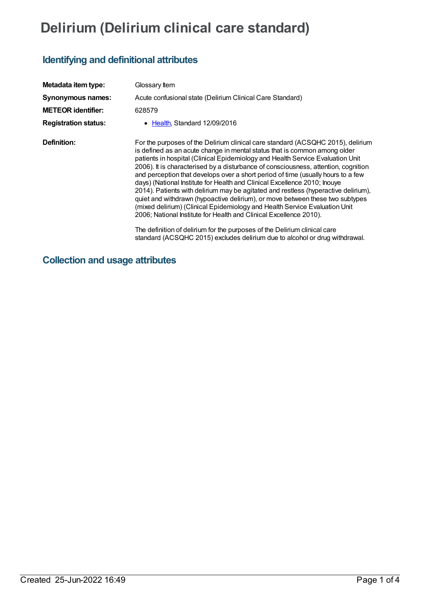## **Delirium (Delirium clinical care standard)**

## **Identifying and definitional attributes**

| Metadata item type:         | Glossary Item                                                                                                                                                                                                                                                                                                                                                                                                                                                                                                                                                                                                                                                                                                                                                                                                                                                                                                                                                                                |
|-----------------------------|----------------------------------------------------------------------------------------------------------------------------------------------------------------------------------------------------------------------------------------------------------------------------------------------------------------------------------------------------------------------------------------------------------------------------------------------------------------------------------------------------------------------------------------------------------------------------------------------------------------------------------------------------------------------------------------------------------------------------------------------------------------------------------------------------------------------------------------------------------------------------------------------------------------------------------------------------------------------------------------------|
| <b>Synonymous names:</b>    | Acute confusional state (Delirium Clinical Care Standard)                                                                                                                                                                                                                                                                                                                                                                                                                                                                                                                                                                                                                                                                                                                                                                                                                                                                                                                                    |
| <b>METEOR identifier:</b>   | 628579                                                                                                                                                                                                                                                                                                                                                                                                                                                                                                                                                                                                                                                                                                                                                                                                                                                                                                                                                                                       |
| <b>Registration status:</b> | • Health, Standard 12/09/2016                                                                                                                                                                                                                                                                                                                                                                                                                                                                                                                                                                                                                                                                                                                                                                                                                                                                                                                                                                |
| Definition:                 | For the purposes of the Delirium clinical care standard (ACSQHC 2015), delirium<br>is defined as an acute change in mental status that is common among older<br>patients in hospital (Clinical Epidemiology and Health Service Evaluation Unit<br>2006). It is characterised by a disturbance of consciousness, attention, cognition<br>and perception that develops over a short period of time (usually hours to a few<br>days) (National Institute for Health and Clinical Excellence 2010; Inouye<br>2014). Patients with delirium may be agitated and restless (hyperactive delirium),<br>quiet and withdrawn (hypoactive delirium), or move between these two subtypes<br>(mixed delirium) (Clinical Epidemiology and Health Service Evaluation Unit<br>2006; National Institute for Health and Clinical Excellence 2010).<br>The definition of delirium for the purposes of the Delirium clinical care<br>standard (ACSQHC 2015) excludes delirium due to alcohol or drug withdrawal. |

## **Collection and usage attributes**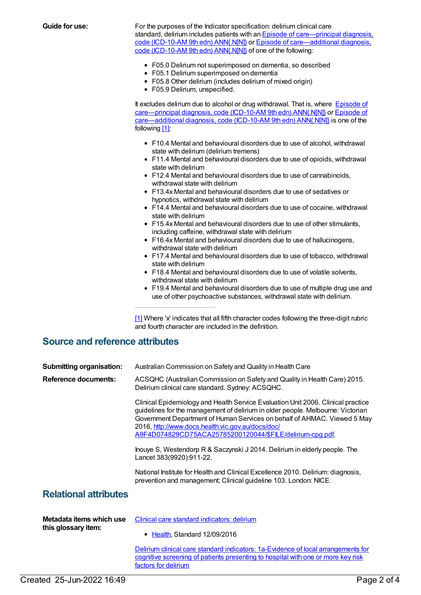**Guide for use:** For the purposes of the Indicator specification: delirium clinical care standard, delirium includes patients with an Episode of [care—principal](file:///content/588987) diagnosis, code (ICD-10-AM 9th edn) ANN{.N[N]} or Episode of [care—additional](file:///content/588981) diagnosis, code (ICD-10-AM 9th edn) ANN{.N[N]} of one of the following:

- F05.0 Delirium not superimposed on dementia, so described
- F05.1 Delirium superimposed on dementia
- F05.8 Other delirium (includes delirium of mixed origin)
- F05.9 Delirium, unspecified.

It excludes delirium due to alcohol or drug withdrawal. That is, where Episode of [care—principal](file:///content/588981) diagnosis, code (ICD-10-AM 9th edn) ANN{.N[N]} or Episode of care—additional diagnosis, code (ICD-10-AM 9th edn) ANN{.N[N]} is one of the following [\[1\]](#page-1-0):

- <span id="page-1-1"></span>F10.4 Mental and behavioural disorders due to use of alcohol, withdrawal state with delirium (delirium tremens)
- F11.4 Mental and behavioural disorders due to use of opioids, withdrawal state with delirium
- F12.4 Mental and behavioural disorders due to use of cannabinoids, withdrawal state with delirium
- F13.4x Mental and behavioural disorders due to use of sedatives or hypnotics, withdrawal state with delirium
- F14.4 Mental and behavioural disorders due to use of cocaine, withdrawal state with delirium
- F15.4x Mental and behavioural disorders due to use of other stimulants, including caffeine, withdrawal state with delirium
- F16.4x Mental and behavioural disorders due to use of hallucinogens, withdrawal state with delirium
- F17.4 Mental and behavioural disorders due to use of tobacco, withdrawal state with delirium
- F18.4 Mental and behavioural disorders due to use of volatile solvents, withdrawal state with delirium
- F19.4 Mental and behavioural disorders due to use of multiple drug use and use of other psychoactive substances, withdrawal state with delirium.

<span id="page-1-0"></span>[\[1\]](#page-1-1) Where 'x' indicates that all fifth character codes following the three-digit rubric and fourth character are included in the definition.

## **Source and reference attributes**

| <b>Submitting organisation:</b><br><b>Reference documents:</b> | Australian Commission on Safety and Quality in Health Care<br>ACSQHC (Australian Commission on Safety and Quality in Health Care) 2015.<br>Delirium clinical care standard. Sydney: ACSQHC.                                                                                                                                                                       |
|----------------------------------------------------------------|-------------------------------------------------------------------------------------------------------------------------------------------------------------------------------------------------------------------------------------------------------------------------------------------------------------------------------------------------------------------|
|                                                                | Clinical Epidemiology and Health Service Evaluation Unit 2006. Clinical practice<br>guidelines for the management of delirium in older people. Melbourne: Victorian<br>Government Department of Human Services on behalf of AHMAC. Viewed 5 May<br>2016, http://www.docs.health.vic.gov.au/docs/doc/<br>A9F4D074829CD75ACA25785200120044/\$FILE/delirium-cpg.pdf. |
|                                                                | Inouye S, Westendorp R & Saczynski J 2014. Delirium in elderly people. The<br>Lancet 383(9920):911-22.                                                                                                                                                                                                                                                            |
|                                                                | National Institute for Health and Clinical Excellence 2010. Delirium: diagnosis,<br>prevention and management; Clinical guideline 103. London: NICE.                                                                                                                                                                                                              |
| <b>Relational attributes</b>                                   |                                                                                                                                                                                                                                                                                                                                                                   |
| Metadata items which use<br>this glossary item:                | Clinical care standard indicators: delirium<br>Health. Standard 12/09/2016<br>٠                                                                                                                                                                                                                                                                                   |

Delirium clinical care standard indicators: 1a-Evidence of local [arrangements](https://meteor.aihw.gov.au/content/627955) for cognitive screening of patients presenting to hospital with one or more key risk factors for delirium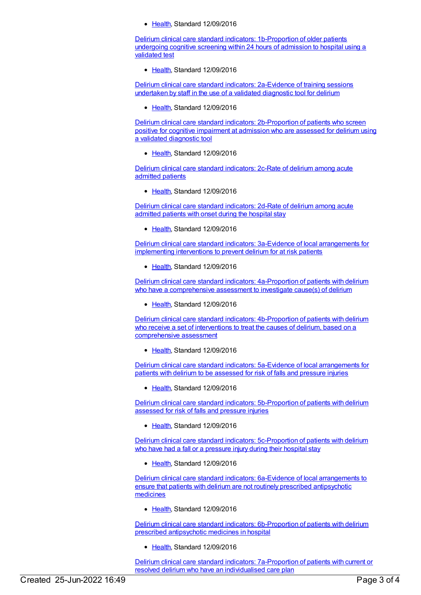[Health](https://meteor.aihw.gov.au/RegistrationAuthority/12), Standard 12/09/2016

Delirium clinical care standard indicators: [1b-Proportion](https://meteor.aihw.gov.au/content/613168) of older patients undergoing cognitive screening within 24 hours of admission to hospital using a validated test

● [Health](https://meteor.aihw.gov.au/RegistrationAuthority/12), Standard 12/09/2016

Delirium clinical care standard indicators: [2a-Evidence](https://meteor.aihw.gov.au/content/627951) of training sessions undertaken by staff in the use of a validated diagnostic tool for delirium

[Health](https://meteor.aihw.gov.au/RegistrationAuthority/12), Standard 12/09/2016

Delirium clinical care standard indicators: [2b-Proportion](https://meteor.aihw.gov.au/content/627938) of patients who screen positive for cognitive impairment at admission who are assessed for delirium using a validated diagnostic tool

[Health](https://meteor.aihw.gov.au/RegistrationAuthority/12), Standard 12/09/2016

Delirium clinical care standard [indicators:](https://meteor.aihw.gov.au/content/628062) 2c-Rate of delirium among acute admitted patients

• [Health](https://meteor.aihw.gov.au/RegistrationAuthority/12), Standard 12/09/2016

Delirium clinical care standard [indicators:](https://meteor.aihw.gov.au/content/628080) 2d-Rate of delirium among acute admitted patients with onset during the hospital stay

• [Health](https://meteor.aihw.gov.au/RegistrationAuthority/12), Standard 12/09/2016

Delirium clinical care standard indicators: 3a-Evidence of local [arrangements](https://meteor.aihw.gov.au/content/628086) for implementing interventions to prevent delirium for at risk patients

• [Health](https://meteor.aihw.gov.au/RegistrationAuthority/12), Standard 12/09/2016

Delirium clinical care standard indicators: [4a-Proportion](https://meteor.aihw.gov.au/content/628103) of patients with delirium who have a comprehensive assessment to investigate cause(s) of delirium

• [Health](https://meteor.aihw.gov.au/RegistrationAuthority/12), Standard 12/09/2016

Delirium clinical care standard indicators: [4b-Proportion](https://meteor.aihw.gov.au/content/628100) of patients with delirium who receive a set of interventions to treat the causes of delirium, based on a comprehensive assessment

• [Health](https://meteor.aihw.gov.au/RegistrationAuthority/12), Standard 12/09/2016

Delirium clinical care standard indicators: 5a-Evidence of local [arrangements](https://meteor.aihw.gov.au/content/628096) for patients with delirium to be assessed for risk of falls and pressure injuries

[Health](https://meteor.aihw.gov.au/RegistrationAuthority/12), Standard 12/09/2016

Delirium clinical care standard indicators: [5b-Proportion](https://meteor.aihw.gov.au/content/628106) of patients with delirium assessed for risk of falls and pressure injuries

[Health](https://meteor.aihw.gov.au/RegistrationAuthority/12), Standard 12/09/2016

Delirium clinical care standard indicators: [5c-Proportion](https://meteor.aihw.gov.au/content/628108) of patients with delirium who have had a fall or a pressure injury during their hospital stay

[Health](https://meteor.aihw.gov.au/RegistrationAuthority/12), Standard 12/09/2016

Delirium clinical care standard indicators: 6a-Evidence of local [arrangements](https://meteor.aihw.gov.au/content/628098) to ensure that patients with delirium are not routinely prescribed antipsychotic medicines

[Health](https://meteor.aihw.gov.au/RegistrationAuthority/12), Standard 12/09/2016

Delirium clinical care standard indicators: [6b-Proportion](https://meteor.aihw.gov.au/content/628110) of patients with delirium prescribed antipsychotic medicines in hospital

[Health](https://meteor.aihw.gov.au/RegistrationAuthority/12), Standard 12/09/2016

Delirium clinical care standard indicators: [7a-Proportion](https://meteor.aihw.gov.au/content/628112) of patients with current or resolved delirium who have an individualised care plan